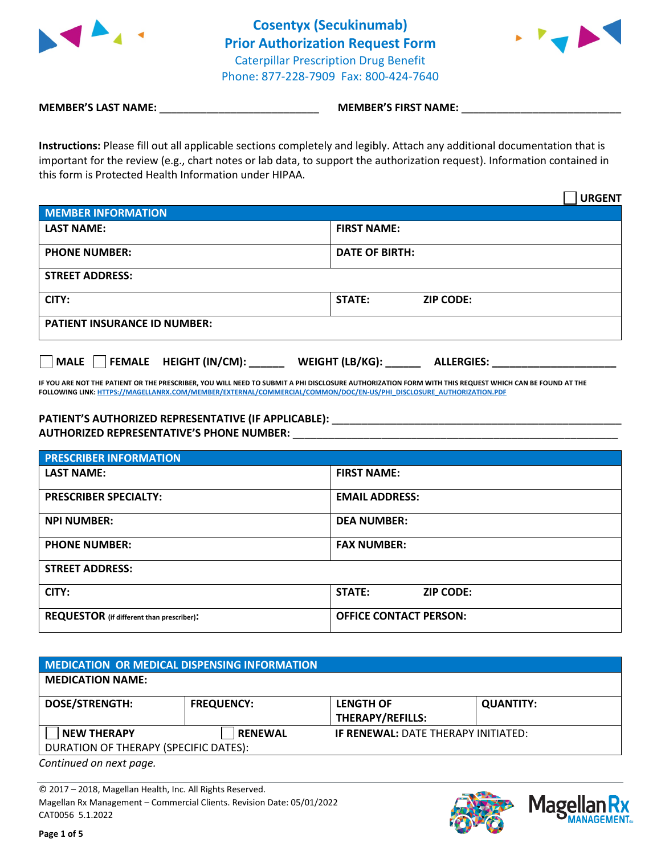



**MEMBER'S LAST NAME:**  $\blacksquare$  **MEMBER'S FIRST NAME:** 

**Instructions:** Please fill out all applicable sections completely and legibly. Attach any additional documentation that is important for the review (e.g., chart notes or lab data, to support the authorization request). Information contained in this form is Protected Health Information under HIPAA.

|                                     |               |                       | <b>URGENT</b> |  |
|-------------------------------------|---------------|-----------------------|---------------|--|
| <b>MEMBER INFORMATION</b>           |               |                       |               |  |
| <b>LAST NAME:</b>                   |               | <b>FIRST NAME:</b>    |               |  |
| <b>PHONE NUMBER:</b>                |               | <b>DATE OF BIRTH:</b> |               |  |
| <b>STREET ADDRESS:</b>              |               |                       |               |  |
| CITY:                               | <b>STATE:</b> | <b>ZIP CODE:</b>      |               |  |
| <b>PATIENT INSURANCE ID NUMBER:</b> |               |                       |               |  |
|                                     |               |                       |               |  |

**IF YOU ARE NOT THE PATIENT OR THE PRESCRIBER, YOU WILL NEED TO SUBMIT A PHI DISCLOSURE AUTHORIZATION FORM WITH THIS REQUEST WHICH CAN BE FOUND AT THE FOLLOWING LINK[: HTTPS://MAGELLANRX.COM/MEMBER/EXTERNAL/COMMERCIAL/COMMON/DOC/EN-US/PHI\\_DISCLOSURE\\_AUTHORIZATION.PDF](https://magellanrx.com/member/external/commercial/common/doc/en-us/PHI_Disclosure_Authorization.pdf)**

**MALE FEMALE HEIGHT (IN/CM): WEIGHT (LB/KG): ALLERGIES:** 

## PATIENT'S AUTHORIZED REPRESENTATIVE (IF APPLICABLE): \_\_\_\_\_\_\_\_\_\_\_\_\_\_\_\_\_\_\_\_\_\_\_\_\_\_\_\_

**AUTHORIZED REPRESENTATIVE'S PHONE NUMBER:** \_\_\_\_\_\_\_\_\_\_\_\_\_\_\_\_\_\_\_\_\_\_\_\_\_\_\_\_\_\_\_\_\_\_\_\_\_\_\_\_\_\_\_\_\_\_\_\_\_\_\_\_\_\_\_

| <b>PRESCRIBER INFORMATION</b>                    |                                   |  |  |  |
|--------------------------------------------------|-----------------------------------|--|--|--|
| <b>LAST NAME:</b>                                | <b>FIRST NAME:</b>                |  |  |  |
| <b>PRESCRIBER SPECIALTY:</b>                     | <b>EMAIL ADDRESS:</b>             |  |  |  |
| <b>NPI NUMBER:</b>                               | <b>DEA NUMBER:</b>                |  |  |  |
| <b>PHONE NUMBER:</b>                             | <b>FAX NUMBER:</b>                |  |  |  |
| <b>STREET ADDRESS:</b>                           |                                   |  |  |  |
| CITY:                                            | <b>STATE:</b><br><b>ZIP CODE:</b> |  |  |  |
| <b>REQUESTOR</b> (if different than prescriber): | <b>OFFICE CONTACT PERSON:</b>     |  |  |  |

| MEDICATION OR MEDICAL DISPENSING INFORMATION |                   |                                            |                  |  |  |
|----------------------------------------------|-------------------|--------------------------------------------|------------------|--|--|
| <b>MEDICATION NAME:</b>                      |                   |                                            |                  |  |  |
| <b>DOSE/STRENGTH:</b>                        | <b>FREQUENCY:</b> | <b>LENGTH OF</b><br>THERAPY/REFILLS:       | <b>QUANTITY:</b> |  |  |
| <b>NEW THERAPY</b>                           | <b>RENEWAL</b>    | <b>IF RENEWAL: DATE THERAPY INITIATED:</b> |                  |  |  |
| DURATION OF THERAPY (SPECIFIC DATES):        |                   |                                            |                  |  |  |

*Continued on next page.*

© 2017 – 2018, Magellan Health, Inc. All Rights Reserved. Magellan Rx Management – Commercial Clients. Revision Date: 05/01/2022 CAT0056 5.1.2022



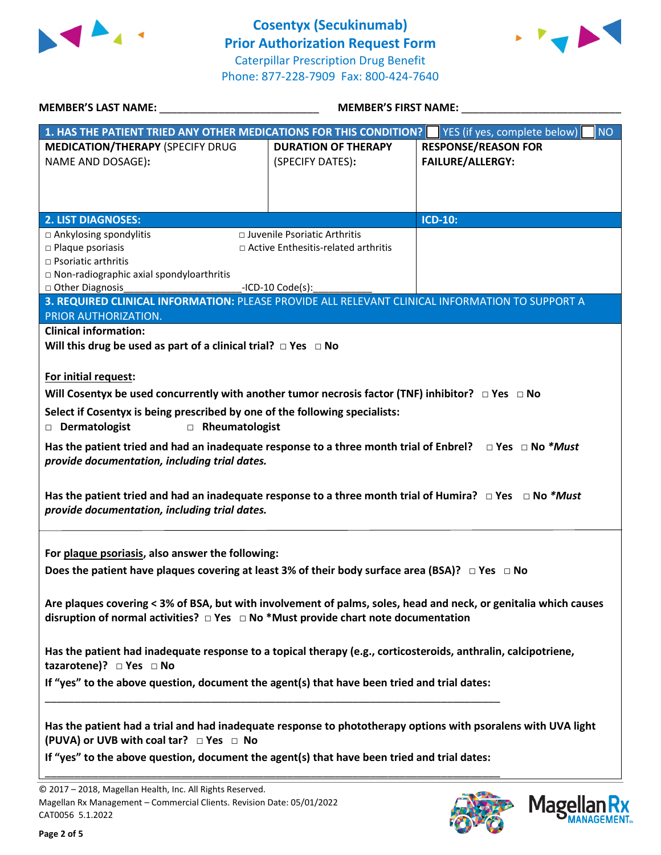



| <b>MEMBER'S LAST NAME:</b>                                                                                                                                                                                                                              | <b>MEMBER'S FIRST NAME:</b>                |                            |  |  |  |  |
|---------------------------------------------------------------------------------------------------------------------------------------------------------------------------------------------------------------------------------------------------------|--------------------------------------------|----------------------------|--|--|--|--|
| 1. HAS THE PATIENT TRIED ANY OTHER MEDICATIONS FOR THIS CONDITION? YES (if yes, complete below)<br><b>NO</b>                                                                                                                                            |                                            |                            |  |  |  |  |
| <b>MEDICATION/THERAPY (SPECIFY DRUG</b>                                                                                                                                                                                                                 | <b>DURATION OF THERAPY</b>                 | <b>RESPONSE/REASON FOR</b> |  |  |  |  |
| NAME AND DOSAGE):                                                                                                                                                                                                                                       | (SPECIFY DATES):                           | <b>FAILURE/ALLERGY:</b>    |  |  |  |  |
|                                                                                                                                                                                                                                                         |                                            |                            |  |  |  |  |
|                                                                                                                                                                                                                                                         |                                            |                            |  |  |  |  |
|                                                                                                                                                                                                                                                         |                                            |                            |  |  |  |  |
| <b>2. LIST DIAGNOSES:</b>                                                                                                                                                                                                                               |                                            | <b>ICD-10:</b>             |  |  |  |  |
| $\Box$ Ankylosing spondylitis                                                                                                                                                                                                                           | □ Juvenile Psoriatic Arthritis             |                            |  |  |  |  |
| $\square$ Plaque psoriasis                                                                                                                                                                                                                              | $\Box$ Active Enthesitis-related arthritis |                            |  |  |  |  |
| $\Box$ Psoriatic arthritis                                                                                                                                                                                                                              |                                            |                            |  |  |  |  |
| □ Non-radiographic axial spondyloarthritis                                                                                                                                                                                                              |                                            |                            |  |  |  |  |
| □ Other Diagnosis                                                                                                                                                                                                                                       | -ICD-10 Code(s):                           |                            |  |  |  |  |
| 3. REQUIRED CLINICAL INFORMATION: PLEASE PROVIDE ALL RELEVANT CLINICAL INFORMATION TO SUPPORT A                                                                                                                                                         |                                            |                            |  |  |  |  |
| PRIOR AUTHORIZATION.                                                                                                                                                                                                                                    |                                            |                            |  |  |  |  |
| <b>Clinical information:</b>                                                                                                                                                                                                                            |                                            |                            |  |  |  |  |
| Will this drug be used as part of a clinical trial? $\Box$ Yes $\Box$ No                                                                                                                                                                                |                                            |                            |  |  |  |  |
|                                                                                                                                                                                                                                                         |                                            |                            |  |  |  |  |
| For initial request:                                                                                                                                                                                                                                    |                                            |                            |  |  |  |  |
| Will Cosentyx be used concurrently with another tumor necrosis factor (TNF) inhibitor? $\Box$ Yes $\Box$ No                                                                                                                                             |                                            |                            |  |  |  |  |
|                                                                                                                                                                                                                                                         |                                            |                            |  |  |  |  |
| Select if Cosentyx is being prescribed by one of the following specialists:                                                                                                                                                                             |                                            |                            |  |  |  |  |
| Dermatologist<br>Rheumatologist                                                                                                                                                                                                                         |                                            |                            |  |  |  |  |
| Has the patient tried and had an inadequate response to a three month trial of Enbrel? $\Box$ Yes $\Box$ No * <i>Must</i><br>provide documentation, including trial dates.                                                                              |                                            |                            |  |  |  |  |
| Has the patient tried and had an inadequate response to a three month trial of Humira? $\Box$ Yes $\Box$ No * <i>Must</i><br>provide documentation, including trial dates.                                                                              |                                            |                            |  |  |  |  |
| For plaque psoriasis, also answer the following:                                                                                                                                                                                                        |                                            |                            |  |  |  |  |
| Does the patient have plaques covering at least 3% of their body surface area (BSA)? $\Box$ Yes $\Box$ No                                                                                                                                               |                                            |                            |  |  |  |  |
|                                                                                                                                                                                                                                                         |                                            |                            |  |  |  |  |
| Are plaques covering < 3% of BSA, but with involvement of palms, soles, head and neck, or genitalia which causes<br>disruption of normal activities? $\Box$ Yes $\Box$ No *Must provide chart note documentation                                        |                                            |                            |  |  |  |  |
| Has the patient had inadequate response to a topical therapy (e.g., corticosteroids, anthralin, calcipotriene,<br>tazarotene)? □ Yes □ No                                                                                                               |                                            |                            |  |  |  |  |
| If "yes" to the above question, document the agent(s) that have been tried and trial dates:                                                                                                                                                             |                                            |                            |  |  |  |  |
| Has the patient had a trial and had inadequate response to phototherapy options with psoralens with UVA light<br>(PUVA) or UVB with coal tar? □ Yes □ No<br>If "yes" to the above question, document the agent(s) that have been tried and trial dates: |                                            |                            |  |  |  |  |
|                                                                                                                                                                                                                                                         |                                            |                            |  |  |  |  |





<sup>© 2017 –</sup> 2018, Magellan Health, Inc. All Rights Reserved. Magellan Rx Management – Commercial Clients. Revision Date: 05/01/2022 CAT0056 5.1.2022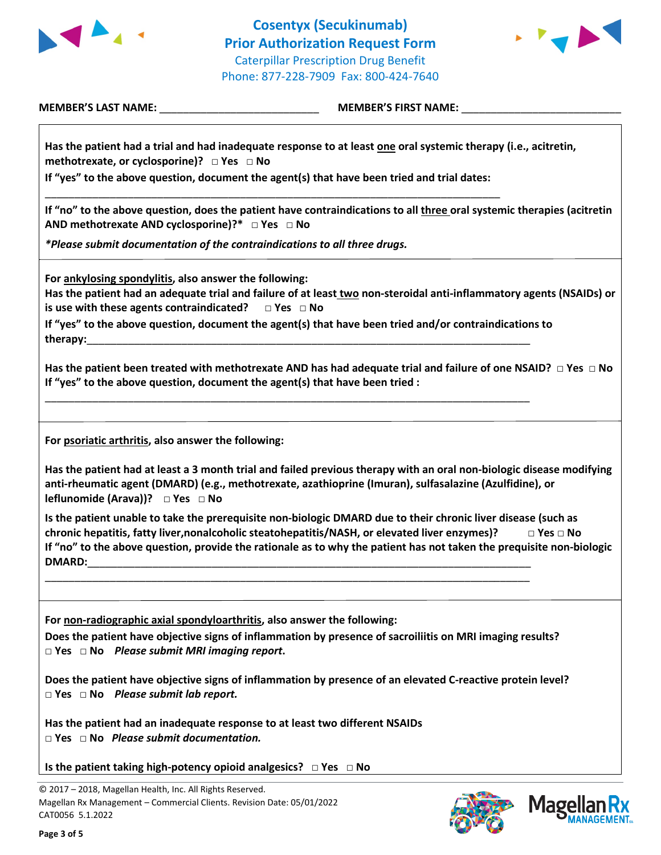



**MEMBER'S LAST NAME:** \_\_\_\_\_\_\_\_\_\_\_\_\_\_\_\_\_\_\_\_\_\_\_\_\_\_\_ **MEMBER'S FIRST NAME:** \_\_\_\_\_\_\_\_\_\_\_\_\_\_\_\_\_\_\_\_\_\_\_\_\_\_\_

**Has the patient had a trial and had inadequate response to at least one oral systemic therapy (i.e., acitretin, methotrexate, or cyclosporine)? □ Yes □ No**

**If "yes" to the above question, document the agent(s) that have been tried and trial dates:**  \_\_\_\_\_\_\_\_\_\_\_\_\_\_\_\_\_\_\_\_\_\_\_\_\_\_\_\_\_\_\_\_\_\_\_\_\_\_\_\_\_\_\_\_\_\_\_\_\_\_\_\_\_\_\_\_\_\_\_\_\_\_\_\_\_\_\_\_\_\_\_\_\_\_\_\_\_

**If "no" to the above question, does the patient have contraindications to all three oral systemic therapies (acitretin AND methotrexate AND cyclosporine)?\* □ Yes □ No**

*\*Please submit documentation of the contraindications to all three drugs.*

**For ankylosing spondylitis, also answer the following:**

**Has the patient had an adequate trial and failure of at least two non-steroidal anti-inflammatory agents (NSAIDs) or is use with these agents contraindicated? □ Yes □ No**

**If "yes" to the above question, document the agent(s) that have been tried and/or contraindications to therapy:**\_\_\_\_\_\_\_\_\_\_\_\_\_\_\_\_\_\_\_\_\_\_\_\_\_\_\_\_\_\_\_\_\_\_\_\_\_\_\_\_\_\_\_\_\_\_\_\_\_\_\_\_\_\_\_\_\_\_\_\_\_\_\_\_\_\_\_\_\_\_\_\_\_\_\_

\_\_\_\_\_\_\_\_\_\_\_\_\_\_\_\_\_\_\_\_\_\_\_\_\_\_\_\_\_\_\_\_\_\_\_\_\_\_\_\_\_\_\_\_\_\_\_\_\_\_\_\_\_\_\_\_\_\_\_\_\_\_\_\_\_\_\_\_\_\_\_\_\_\_\_\_\_\_\_\_\_\_

**Has the patient been treated with methotrexate AND has had adequate trial and failure of one NSAID? □ Yes □ No If "yes" to the above question, document the agent(s) that have been tried :** 

**For psoriatic arthritis, also answer the following:** 

**Has the patient had at least a 3 month trial and failed previous therapy with an oral non-biologic disease modifying anti-rheumatic agent (DMARD) (e.g., methotrexate, azathioprine (Imuran), sulfasalazine (Azulfidine), or leflunomide (Arava))? □ Yes □ No**

**Is the patient unable to take the prerequisite non-biologic DMARD due to their chronic liver disease (such as chronic hepatitis, fatty liver,nonalcoholic steatohepatitis/NASH, or elevated liver enzymes)? □ Yes □ No If "no" to the above question, provide the rationale as to why the patient has not taken the prequisite non-biologic DMARD:**\_\_\_\_\_\_\_\_\_\_\_\_\_\_\_\_\_\_\_\_\_\_\_\_\_\_\_\_\_\_\_\_\_\_\_\_\_\_\_\_\_\_\_\_\_\_\_\_\_\_\_\_\_\_\_\_\_\_\_\_\_\_\_\_\_\_\_\_\_\_\_\_\_\_\_

**For non-radiographic axial spondyloarthritis, also answer the following:** 

**Does the patient have objective signs of inflammation by presence of sacroiliitis on MRI imaging results? □ Yes □ No** *Please submit MRI imaging report***.**

\_\_\_\_\_\_\_\_\_\_\_\_\_\_\_\_\_\_\_\_\_\_\_\_\_\_\_\_\_\_\_\_\_\_\_\_\_\_\_\_\_\_\_\_\_\_\_\_\_\_\_\_\_\_\_\_\_\_\_\_\_\_\_\_\_\_\_\_\_\_\_\_\_\_\_\_\_\_\_\_\_\_

**Does the patient have objective signs of inflammation by presence of an elevated C-reactive protein level? □ Yes □ No** *Please submit lab report.*

**Has the patient had an inadequate response to at least two different NSAIDs □ Yes □ No** *Please submit documentation.*

**Is the patient taking high-potency opioid analgesics? □ Yes □ No**

© 2017 – 2018, Magellan Health, Inc. All Rights Reserved. Magellan Rx Management – Commercial Clients. Revision Date: 05/01/2022 CAT0056 5.1.2022



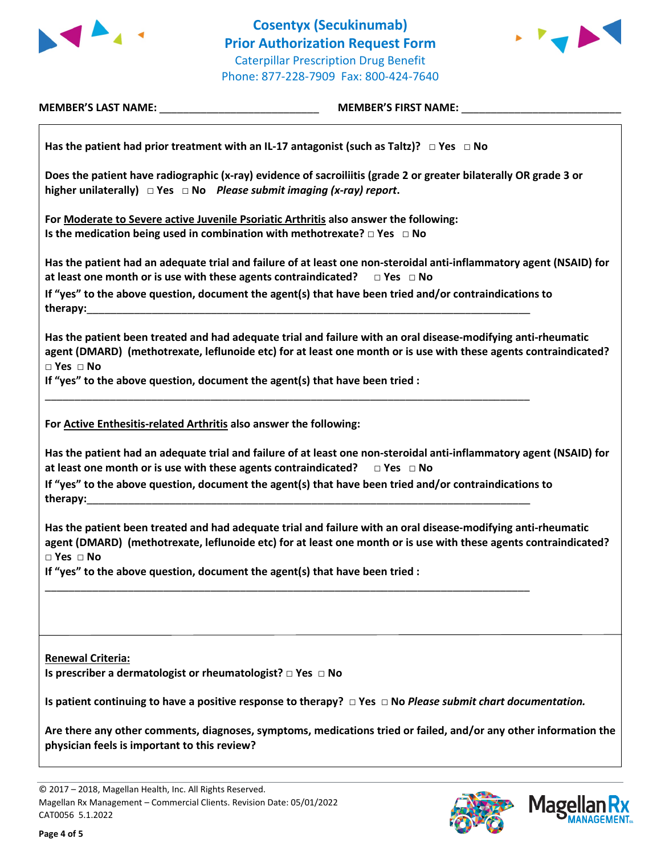



**MEMBER'S LAST NAME:** \_\_\_\_\_\_\_\_\_\_\_\_\_\_\_\_\_\_\_\_\_\_\_\_\_\_\_ **MEMBER'S FIRST NAME:** \_\_\_\_\_\_\_\_\_\_\_\_\_\_\_\_\_\_\_\_\_\_\_\_\_\_\_

**Has the patient had prior treatment with an IL-17 antagonist (such as Taltz)? □ Yes □ No**

**Does the patient have radiographic (x-ray) evidence of sacroiliitis (grade 2 or greater bilaterally OR grade 3 or higher unilaterally) □ Yes □ No** *Please submit imaging (x-ray) report***.**

**For Moderate to Severe active Juvenile Psoriatic Arthritis also answer the following: Is the medication being used in combination with methotrexate? □ Yes □ No**

**Has the patient had an adequate trial and failure of at least one non-steroidal anti-inflammatory agent (NSAID) for at least one month or is use with these agents contraindicated? □ Yes □ No If "yes" to the above question, document the agent(s) that have been tried and/or contraindications to therapy:**\_\_\_\_\_\_\_\_\_\_\_\_\_\_\_\_\_\_\_\_\_\_\_\_\_\_\_\_\_\_\_\_\_\_\_\_\_\_\_\_\_\_\_\_\_\_\_\_\_\_\_\_\_\_\_\_\_\_\_\_\_\_\_\_\_\_\_\_\_\_\_\_\_\_\_

**Has the patient been treated and had adequate trial and failure with an oral disease-modifying anti-rheumatic agent (DMARD) (methotrexate, leflunoide etc) for at least one month or is use with these agents contraindicated? □ Yes □ No**

**If "yes" to the above question, document the agent(s) that have been tried :** 

**For Active Enthesitis-related Arthritis also answer the following:**

**Has the patient had an adequate trial and failure of at least one non-steroidal anti-inflammatory agent (NSAID) for at least one month or is use with these agents contraindicated? □ Yes □ No**

**If "yes" to the above question, document the agent(s) that have been tried and/or contraindications to therapy:**\_\_\_\_\_\_\_\_\_\_\_\_\_\_\_\_\_\_\_\_\_\_\_\_\_\_\_\_\_\_\_\_\_\_\_\_\_\_\_\_\_\_\_\_\_\_\_\_\_\_\_\_\_\_\_\_\_\_\_\_\_\_\_\_\_\_\_\_\_\_\_\_\_\_\_

\_\_\_\_\_\_\_\_\_\_\_\_\_\_\_\_\_\_\_\_\_\_\_\_\_\_\_\_\_\_\_\_\_\_\_\_\_\_\_\_\_\_\_\_\_\_\_\_\_\_\_\_\_\_\_\_\_\_\_\_\_\_\_\_\_\_\_\_\_\_\_\_\_\_\_\_\_\_\_\_\_\_

\_\_\_\_\_\_\_\_\_\_\_\_\_\_\_\_\_\_\_\_\_\_\_\_\_\_\_\_\_\_\_\_\_\_\_\_\_\_\_\_\_\_\_\_\_\_\_\_\_\_\_\_\_\_\_\_\_\_\_\_\_\_\_\_\_\_\_\_\_\_\_\_\_\_\_\_\_\_\_\_\_\_

**Has the patient been treated and had adequate trial and failure with an oral disease-modifying anti-rheumatic agent (DMARD) (methotrexate, leflunoide etc) for at least one month or is use with these agents contraindicated? □ Yes □ No**

**If "yes" to the above question, document the agent(s) that have been tried :** 

**Renewal Criteria: Is prescriber a dermatologist or rheumatologist? □ Yes □ No**

**Is patient continuing to have a positive response to therapy? □ Yes □ No** *Please submit chart documentation.*

**Are there any other comments, diagnoses, symptoms, medications tried or failed, and/or any other information the physician feels is important to this review?**

© 2017 – 2018, Magellan Health, Inc. All Rights Reserved. Magellan Rx Management – Commercial Clients. Revision Date: 05/01/2022 CAT0056 5.1.2022